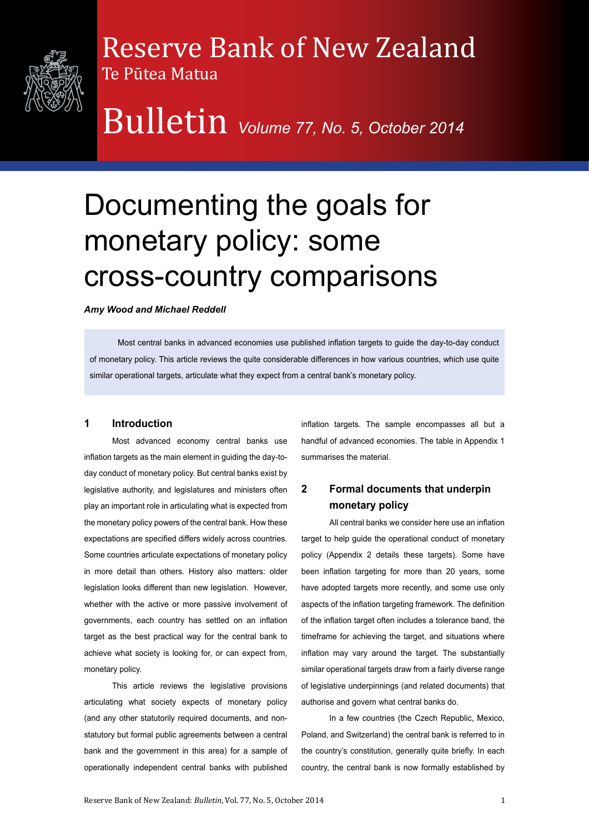

### Reserve Bank of New Zealand

Bulletin *Volume 77, No. 5, October 2014*

## Documenting the goals for monetary policy: some cross-country comparisons

*Amy Wood and Michael Reddell*

Te Pūtea Matua

Most central banks in advanced economies use published inflation targets to guide the day-to-day conduct of monetary policy. This article reviews the quite considerable differences in how various countries, which use quite similar operational targets, articulate what they expect from a central bank's monetary policy.

#### **1 Introduction**

Most advanced economy central banks use inflation targets as the main element in guiding the day-today conduct of monetary policy. But central banks exist by legislative authority, and legislatures and ministers often play an important role in articulating what is expected from the monetary policy powers of the central bank. How these expectations are specified differs widely across countries. Some countries articulate expectations of monetary policy in more detail than others. History also matters: older legislation looks different than new legislation. However, whether with the active or more passive involvement of governments, each country has settled on an inflation target as the best practical way for the central bank to achieve what society is looking for, or can expect from, monetary policy.

This article reviews the legislative provisions articulating what society expects of monetary policy (and any other statutorily required documents, and nonstatutory but formal public agreements between a central bank and the government in this area) for a sample of operationally independent central banks with published

inflation targets. The sample encompasses all but a handful of advanced economies. The table in Appendix 1 summarises the material.

#### **2 Formal documents that underpin monetary policy**

All central banks we consider here use an inflation target to help quide the operational conduct of monetary policy (Appendix 2 details these targets). Some have been inflation targeting for more than 20 years, some have adopted targets more recently, and some use only aspects of the inflation targeting framework. The definition of the inflation target often includes a tolerance band, the timeframe for achieving the target, and situations where inflation may vary around the target. The substantially similar operational targets draw from a fairly diverse range of legislative underpinnings (and related documents) that authorise and govern what central banks do.

In a few countries (the Czech Republic, Mexico, Poland, and Switzerland) the central bank is referred to in the country's constitution, generally quite briefly. In each country, the central bank is now formally established by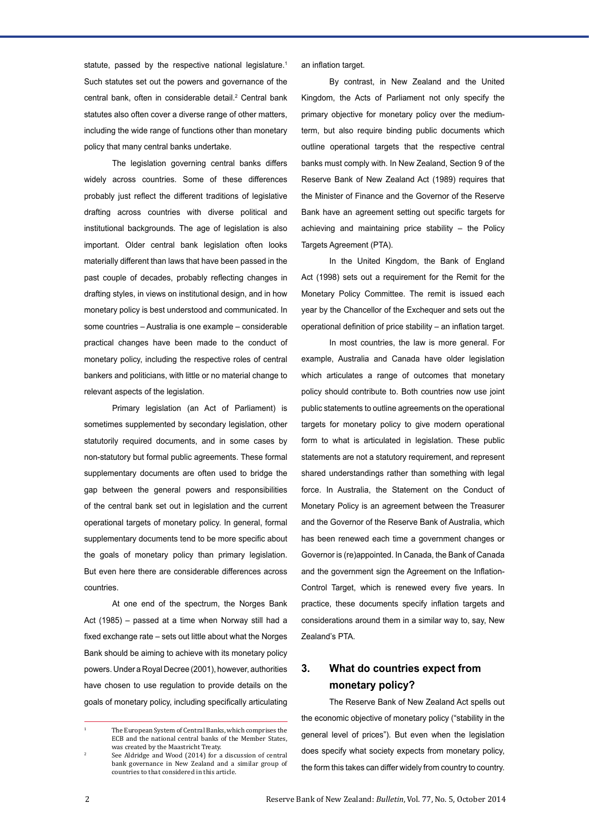statute, passed by the respective national legislature.<sup>1</sup> Such statutes set out the powers and governance of the central bank, often in considerable detail.2 Central bank statutes also often cover a diverse range of other matters, including the wide range of functions other than monetary policy that many central banks undertake.

The legislation governing central banks differs widely across countries. Some of these differences probably just reflect the different traditions of legislative drafting across countries with diverse political and institutional backgrounds. The age of legislation is also important. Older central bank legislation often looks materially different than laws that have been passed in the past couple of decades, probably reflecting changes in drafting styles, in views on institutional design, and in how monetary policy is best understood and communicated. In some countries – Australia is one example – considerable practical changes have been made to the conduct of monetary policy, including the respective roles of central bankers and politicians, with little or no material change to relevant aspects of the legislation.

Primary legislation (an Act of Parliament) is sometimes supplemented by secondary legislation, other statutorily required documents, and in some cases by non-statutory but formal public agreements. These formal supplementary documents are often used to bridge the gap between the general powers and responsibilities of the central bank set out in legislation and the current operational targets of monetary policy. In general, formal supplementary documents tend to be more specific about the goals of monetary policy than primary legislation. But even here there are considerable differences across countries.

At one end of the spectrum, the Norges Bank Act (1985) – passed at a time when Norway still had a fixed exchange rate – sets out little about what the Norges Bank should be aiming to achieve with its monetary policy powers. Under a Royal Decree (2001), however, authorities have chosen to use regulation to provide details on the goals of monetary policy, including specifically articulating

an inflation target.

By contrast, in New Zealand and the United Kingdom, the Acts of Parliament not only specify the primary objective for monetary policy over the mediumterm, but also require binding public documents which outline operational targets that the respective central banks must comply with. In New Zealand, Section 9 of the Reserve Bank of New Zealand Act (1989) requires that the Minister of Finance and the Governor of the Reserve Bank have an agreement setting out specific targets for achieving and maintaining price stability – the Policy Targets Agreement (PTA).

In the United Kingdom, the Bank of England Act (1998) sets out a requirement for the Remit for the Monetary Policy Committee. The remit is issued each year by the Chancellor of the Exchequer and sets out the operational definition of price stability – an inflation target.

In most countries, the law is more general. For example, Australia and Canada have older legislation which articulates a range of outcomes that monetary policy should contribute to. Both countries now use joint public statements to outline agreements on the operational targets for monetary policy to give modern operational form to what is articulated in legislation. These public statements are not a statutory requirement, and represent shared understandings rather than something with legal force. In Australia, the Statement on the Conduct of Monetary Policy is an agreement between the Treasurer and the Governor of the Reserve Bank of Australia, which has been renewed each time a government changes or Governor is (re)appointed. In Canada, the Bank of Canada and the government sign the Agreement on the Inflation-Control Target, which is renewed every five years. In practice, these documents specify inflation targets and considerations around them in a similar way to, say, New Zealand's PTA.

#### **3. What do countries expect from monetary policy?**

The Reserve Bank of New Zealand Act spells out the economic objective of monetary policy ("stability in the general level of prices"). But even when the legislation does specify what society expects from monetary policy, the form this takes can differ widely from country to country.

<sup>1</sup> The European System of Central Banks, which comprises the ECB and the national central banks of the Member States, was created by the Maastricht Treaty.

See Aldridge and Wood (2014) for a discussion of central bank governance in New Zealand and a similar group of countries to that considered in this article.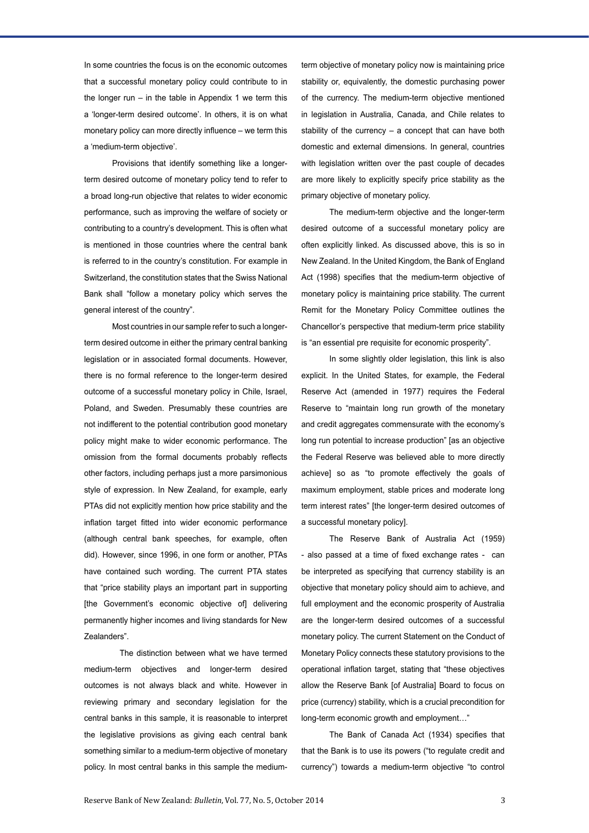In some countries the focus is on the economic outcomes that a successful monetary policy could contribute to in the longer run  $-$  in the table in Appendix 1 we term this a 'longer-term desired outcome'. In others, it is on what monetary policy can more directly influence – we term this a 'medium-term objective'.

Provisions that identify something like a longerterm desired outcome of monetary policy tend to refer to a broad long-run objective that relates to wider economic performance, such as improving the welfare of society or contributing to a country's development. This is often what is mentioned in those countries where the central bank is referred to in the country's constitution. For example in Switzerland, the constitution states that the Swiss National Bank shall "follow a monetary policy which serves the general interest of the country".

Most countries in our sample refer to such a longerterm desired outcome in either the primary central banking legislation or in associated formal documents. However, there is no formal reference to the longer-term desired outcome of a successful monetary policy in Chile, Israel, Poland, and Sweden. Presumably these countries are not indifferent to the potential contribution good monetary policy might make to wider economic performance. The omission from the formal documents probably reflects other factors, including perhaps just a more parsimonious style of expression. In New Zealand, for example, early PTAs did not explicitly mention how price stability and the inflation target fitted into wider economic performance (although central bank speeches, for example, often did). However, since 1996, in one form or another, PTAs have contained such wording. The current PTA states that "price stability plays an important part in supporting [the Government's economic objective of] delivering permanently higher incomes and living standards for New Zealanders".

The distinction between what we have termed medium-term objectives and longer-term desired outcomes is not always black and white. However in reviewing primary and secondary legislation for the central banks in this sample, it is reasonable to interpret the legislative provisions as giving each central bank something similar to a medium-term objective of monetary policy. In most central banks in this sample the mediumterm objective of monetary policy now is maintaining price stability or, equivalently, the domestic purchasing power of the currency. The medium-term objective mentioned in legislation in Australia, Canada, and Chile relates to stability of the currency – a concept that can have both domestic and external dimensions. In general, countries with legislation written over the past couple of decades are more likely to explicitly specify price stability as the primary objective of monetary policy.

The medium-term objective and the longer-term desired outcome of a successful monetary policy are often explicitly linked. As discussed above, this is so in New Zealand. In the United Kingdom, the Bank of England Act (1998) specifies that the medium-term objective of monetary policy is maintaining price stability. The current Remit for the Monetary Policy Committee outlines the Chancellor's perspective that medium-term price stability is "an essential pre requisite for economic prosperity".

In some slightly older legislation, this link is also explicit. In the United States, for example, the Federal Reserve Act (amended in 1977) requires the Federal Reserve to "maintain long run growth of the monetary and credit aggregates commensurate with the economy's long run potential to increase production" [as an objective the Federal Reserve was believed able to more directly achieve] so as "to promote effectively the goals of maximum employment, stable prices and moderate long term interest rates" [the longer-term desired outcomes of a successful monetary policy].

The Reserve Bank of Australia Act (1959) - also passed at a time of fixed exchange rates - can be interpreted as specifying that currency stability is an objective that monetary policy should aim to achieve, and full employment and the economic prosperity of Australia are the longer-term desired outcomes of a successful monetary policy. The current Statement on the Conduct of Monetary Policy connects these statutory provisions to the operational inflation target, stating that "these objectives allow the Reserve Bank [of Australia] Board to focus on price (currency) stability, which is a crucial precondition for long-term economic growth and employment…"

The Bank of Canada Act (1934) specifies that that the Bank is to use its powers ("to regulate credit and currency") towards a medium-term objective "to control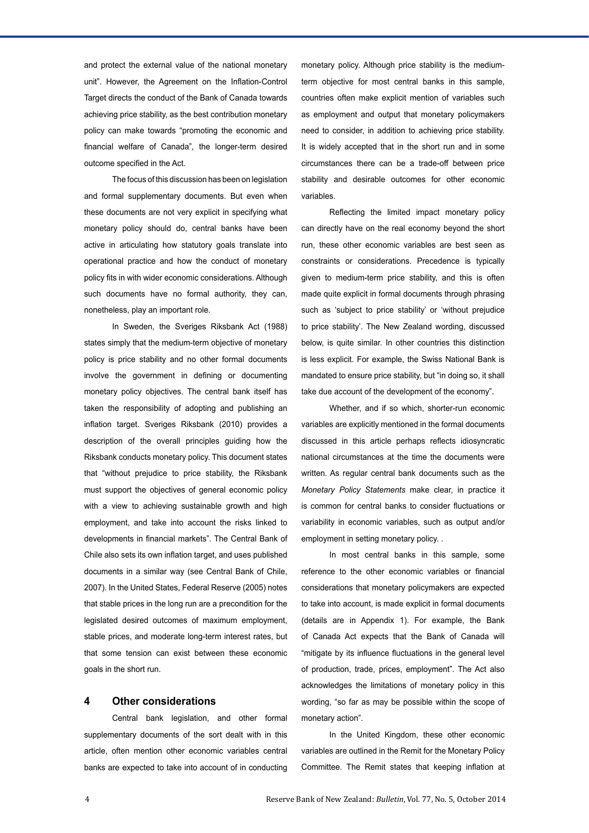and protect the external value of the national monetary unit". However, the Agreement on the Inflation-Control Target directs the conduct of the Bank of Canada towards achieving price stability, as the best contribution monetary policy can make towards "promoting the economic and financial welfare of Canada", the longer-term desired outcome specified in the Act.

The focus of this discussion has been on legislation and formal supplementary documents. But even when these documents are not very explicit in specifying what monetary policy should do, central banks have been active in articulating how statutory goals translate into operational practice and how the conduct of monetary policy fits in with wider economic considerations. Although such documents have no formal authority, they can, nonetheless, play an important role.

In Sweden, the Sveriges Riksbank Act (1988) states simply that the medium-term objective of monetary policy is price stability and no other formal documents involve the government in defining or documenting monetary policy objectives. The central bank itself has taken the responsibility of adopting and publishing an inflation target. Sveriges Riksbank (2010) provides a description of the overall principles guiding how the Riksbank conducts monetary policy. This document states that "without prejudice to price stability, the Riksbank must support the objectives of general economic policy with a view to achieving sustainable growth and high employment, and take into account the risks linked to developments in financial markets". The Central Bank of Chile also sets its own inflation target, and uses published documents in a similar way (see Central Bank of Chile, 2007). In the United States, Federal Reserve (2005) notes that stable prices in the long run are a precondition for the legislated desired outcomes of maximum employment, stable prices, and moderate long-term interest rates, but that some tension can exist between these economic goals in the short run.

#### **4 Other considerations**

Central bank legislation, and other formal supplementary documents of the sort dealt with in this article, often mention other economic variables central banks are expected to take into account of in conducting monetary policy. Although price stability is the mediumterm objective for most central banks in this sample, countries often make explicit mention of variables such as employment and output that monetary policymakers need to consider, in addition to achieving price stability. It is widely accepted that in the short run and in some circumstances there can be a trade-off between price stability and desirable outcomes for other economic variables.

Reflecting the limited impact monetary policy can directly have on the real economy beyond the short run, these other economic variables are best seen as constraints or considerations. Precedence is typically given to medium-term price stability, and this is often made quite explicit in formal documents through phrasing such as 'subject to price stability' or 'without prejudice to price stability'. The New Zealand wording, discussed below, is quite similar. In other countries this distinction is less explicit. For example, the Swiss National Bank is mandated to ensure price stability, but "in doing so, it shall take due account of the development of the economy".

Whether, and if so which, shorter-run economic variables are explicitly mentioned in the formal documents discussed in this article perhaps reflects idiosyncratic national circumstances at the time the documents were written. As regular central bank documents such as the *Monetary Policy Statements* make clear, in practice it is common for central banks to consider fluctuations or variability in economic variables, such as output and/or employment in setting monetary policy. .

In most central banks in this sample, some reference to the other economic variables or financial considerations that monetary policymakers are expected to take into account, is made explicit in formal documents (details are in Appendix 1). For example, the Bank of Canada Act expects that the Bank of Canada will "mitigate by its influence fluctuations in the general level of production, trade, prices, employment". The Act also acknowledges the limitations of monetary policy in this wording, "so far as may be possible within the scope of monetary action".

In the United Kingdom, these other economic variables are outlined in the Remit for the Monetary Policy Committee. The Remit states that keeping inflation at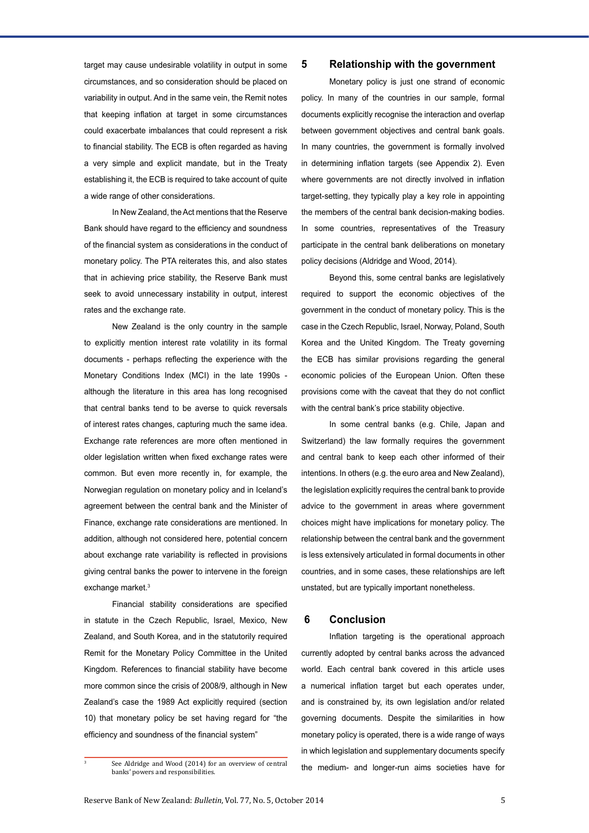target may cause undesirable volatility in output in some circumstances, and so consideration should be placed on variability in output. And in the same vein, the Remit notes that keeping inflation at target in some circumstances could exacerbate imbalances that could represent a risk to financial stability. The ECB is often regarded as having a very simple and explicit mandate, but in the Treaty establishing it, the ECB is required to take account of quite a wide range of other considerations.

In New Zealand, the Act mentions that the Reserve Bank should have regard to the efficiency and soundness of the financial system as considerations in the conduct of monetary policy. The PTA reiterates this, and also states that in achieving price stability, the Reserve Bank must seek to avoid unnecessary instability in output, interest rates and the exchange rate.

New Zealand is the only country in the sample to explicitly mention interest rate volatility in its formal documents - perhaps reflecting the experience with the Monetary Conditions Index (MCI) in the late 1990s although the literature in this area has long recognised that central banks tend to be averse to quick reversals of interest rates changes, capturing much the same idea. Exchange rate references are more often mentioned in older legislation written when fixed exchange rates were common. But even more recently in, for example, the Norwegian regulation on monetary policy and in Iceland's agreement between the central bank and the Minister of Finance, exchange rate considerations are mentioned. In addition, although not considered here, potential concern about exchange rate variability is reflected in provisions giving central banks the power to intervene in the foreign exchange market.<sup>3</sup>

Financial stability considerations are specified in statute in the Czech Republic, Israel, Mexico, New Zealand, and South Korea, and in the statutorily required Remit for the Monetary Policy Committee in the United Kingdom. References to financial stability have become more common since the crisis of 2008/9, although in New Zealand's case the 1989 Act explicitly required (section 10) that monetary policy be set having regard for "the efficiency and soundness of the financial system"

#### **5 Relationship with the government**

Monetary policy is just one strand of economic policy. In many of the countries in our sample, formal documents explicitly recognise the interaction and overlap between government objectives and central bank goals. In many countries, the government is formally involved in determining inflation targets (see Appendix 2). Even where governments are not directly involved in inflation target-setting, they typically play a key role in appointing the members of the central bank decision-making bodies. In some countries, representatives of the Treasury participate in the central bank deliberations on monetary policy decisions (Aldridge and Wood, 2014).

Beyond this, some central banks are legislatively required to support the economic objectives of the government in the conduct of monetary policy. This is the case in the Czech Republic, Israel, Norway, Poland, South Korea and the United Kingdom. The Treaty governing the ECB has similar provisions regarding the general economic policies of the European Union. Often these provisions come with the caveat that they do not conflict with the central bank's price stability objective.

In some central banks (e.g. Chile, Japan and Switzerland) the law formally requires the government and central bank to keep each other informed of their intentions. In others (e.g. the euro area and New Zealand), the legislation explicitly requires the central bank to provide advice to the government in areas where government choices might have implications for monetary policy. The relationship between the central bank and the government is less extensively articulated in formal documents in other countries, and in some cases, these relationships are left unstated, but are typically important nonetheless.

#### **6 Conclusion**

Inflation targeting is the operational approach currently adopted by central banks across the advanced world. Each central bank covered in this article uses a numerical inflation target but each operates under, and is constrained by, its own legislation and/or related governing documents. Despite the similarities in how monetary policy is operated, there is a wide range of ways in which legislation and supplementary documents specify s See Aldridge and Wood (2014) for an overview of central  $\frac{1}{2}$  the medium- and longer-run aims societies have for

banks' powers and responsibilities.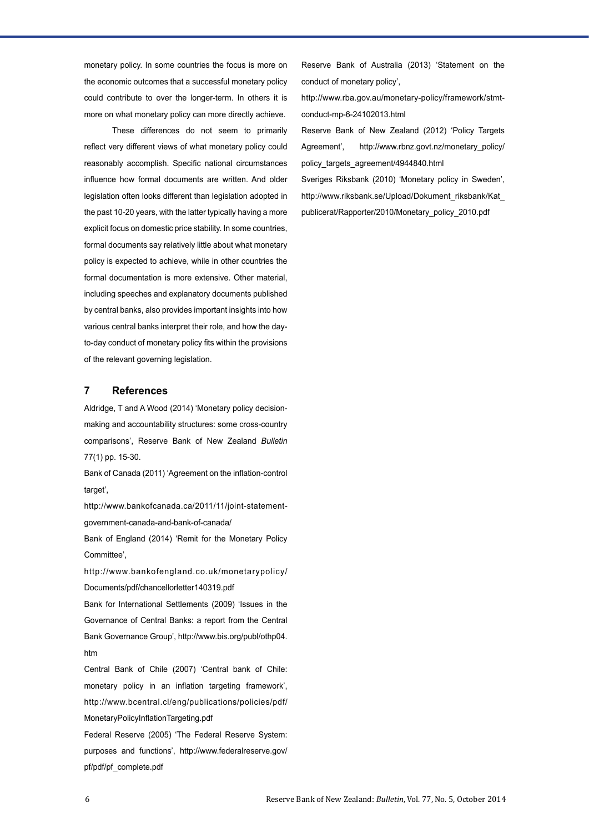monetary policy. In some countries the focus is more on the economic outcomes that a successful monetary policy could contribute to over the longer-term. In others it is more on what monetary policy can more directly achieve.

These differences do not seem to primarily reflect very different views of what monetary policy could reasonably accomplish. Specific national circumstances influence how formal documents are written. And older legislation often looks different than legislation adopted in the past 10-20 years, with the latter typically having a more explicit focus on domestic price stability. In some countries, formal documents say relatively little about what monetary policy is expected to achieve, while in other countries the formal documentation is more extensive. Other material, including speeches and explanatory documents published by central banks, also provides important insights into how various central banks interpret their role, and how the dayto-day conduct of monetary policy fits within the provisions of the relevant governing legislation.

#### **7 References**

Aldridge, T and A Wood (2014) 'Monetary policy decisionmaking and accountability structures: some cross-country comparisons', Reserve Bank of New Zealand *Bulletin* 77(1) pp. 15-30.

Bank of Canada (2011) 'Agreement on the inflation-control target',

http://www.bankofcanada.ca/2011/11/joint-statementgovernment-canada-and-bank-of-canada/

Bank of England (2014) 'Remit for the Monetary Policy Committee',

http://www.bankofengland.co.uk/monetarypolicy/ Documents/pdf/chancellorletter140319.pdf

Bank for International Settlements (2009) 'Issues in the Governance of Central Banks: a report from the Central Bank Governance Group', http://www.bis.org/publ/othp04. htm

Central Bank of Chile (2007) 'Central bank of Chile: monetary policy in an inflation targeting framework', http://www.bcentral.cl/eng/publications/policies/pdf/ MonetaryPolicyInflationTargeting.pdf

Federal Reserve (2005) 'The Federal Reserve System: purposes and functions', http://www.federalreserve.gov/ pf/pdf/pf\_complete.pdf

Reserve Bank of Australia (2013) 'Statement on the conduct of monetary policy',

http://www.rba.gov.au/monetary-policy/framework/stmtconduct-mp-6-24102013.html

Reserve Bank of New Zealand (2012) 'Policy Targets Agreement', http://www.rbnz.govt.nz/monetary\_policy/ policy\_targets\_agreement/4944840.html

Sveriges Riksbank (2010) 'Monetary policy in Sweden', http://www.riksbank.se/Upload/Dokument\_riksbank/Kat\_ publicerat/Rapporter/2010/Monetary\_policy\_2010.pdf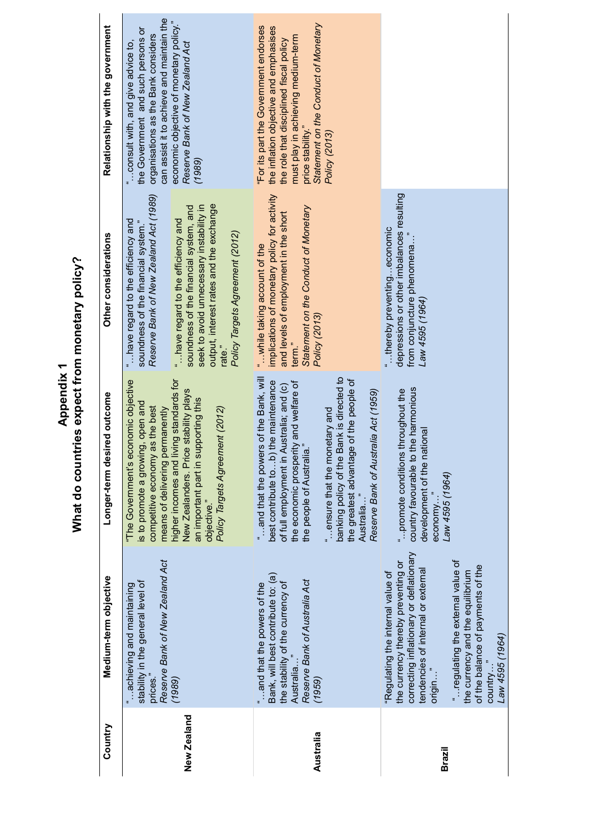| Relationship with the government | can assist it to achieve and maintain the<br>the Government and such persons or<br>organisations as the Bank considers<br>consult with, and give advice to, | economic objective of monetary policy."<br>Reserve Bank of New Zealand Act<br>(1989)                                                                                                                             | Statement on the Conduct of Monetary<br>"For its part the Government endorses<br>the inflation objective and emphasises<br>must play in achieving medium-term<br>the role that disciplined fiscal policy<br>price stability."<br>Policy (2013)                                                                                                                                      |                                                                                                                                                                                                                                                                                                                  |
|----------------------------------|-------------------------------------------------------------------------------------------------------------------------------------------------------------|------------------------------------------------------------------------------------------------------------------------------------------------------------------------------------------------------------------|-------------------------------------------------------------------------------------------------------------------------------------------------------------------------------------------------------------------------------------------------------------------------------------------------------------------------------------------------------------------------------------|------------------------------------------------------------------------------------------------------------------------------------------------------------------------------------------------------------------------------------------------------------------------------------------------------------------|
| Other considerations             | Reserve Bank of New Zealand Act (1989)<br>have regard to the efficiency and<br>soundness of the financial system."                                          | output, interest rates and the exchange<br>seek to avoid unnecessary instability in<br>soundness of the financial system, and<br>"have regard to the efficiency and<br>Policy Targets Agreement (2012)<br>rate." | implications of monetary policy for activity<br>Statement on the Conduct of Monetary<br>and levels of employment in the short<br>"while taking account of the<br>Policy (2013)<br>term."                                                                                                                                                                                            | depressions or other imbalances resulting<br>"thereby preventingeconomic<br>from conjuncture phenomena.<br>Law 4595 (1964)                                                                                                                                                                                       |
| Longer-term desired outcome      | economic objective<br>is to promote a growing, open and<br>competitive economy as the best<br>permanently<br>means of delivering<br>"The Government's       | living standards for<br>New Zealanders. Price stability plays<br>supporting this<br>Policy Targets Agreement (2012)<br>nigher incomes and<br>an important part in<br>objective."                                 | ers of the Bank, will<br>banking policy of the Bank is directed to<br>the greatest advantage of the people of<br>best contribute tob) the maintenance<br>the economic prosperity and welfare of<br>the people of Australia."<br>of full employment in Australia; and (c)<br>Reserve Bank of Australia Act (1959)<br>"ensure that the monetary and<br>and that the pow<br>Australia" | country favourable to the harmonious<br>" promote conditions throughout the<br>national<br>development of the<br>Law 4595 (1964)<br>economy                                                                                                                                                                      |
| Medium-term objective            | Reserve Bank of New Zealand Act<br>stability in the general level of<br>achieving and maintaining<br>prices.                                                | (1989)                                                                                                                                                                                                           | Bank, will best contribute to: (a)<br>Reserve Bank of Australia Act<br>the stability of the currency of<br>and that the powers of the<br>Australia<br>(1959)                                                                                                                                                                                                                        | correcting inflationary or deflationary<br>"regulating the external value of<br>the currency thereby preventing or<br>of the balance of payments of the<br>tendencies of internal or external<br>the currency and the equilibrium<br>"Regulating the internal value of<br>Law 4595 (1964)<br>country.<br>origin. |
| Country                          |                                                                                                                                                             | New Zealand                                                                                                                                                                                                      | Australia                                                                                                                                                                                                                                                                                                                                                                           | <b>Brazil</b>                                                                                                                                                                                                                                                                                                    |

# Appendix 1<br>What do countries expect from monetary policy? **What do countries expect from monetary policy? Appendix 1**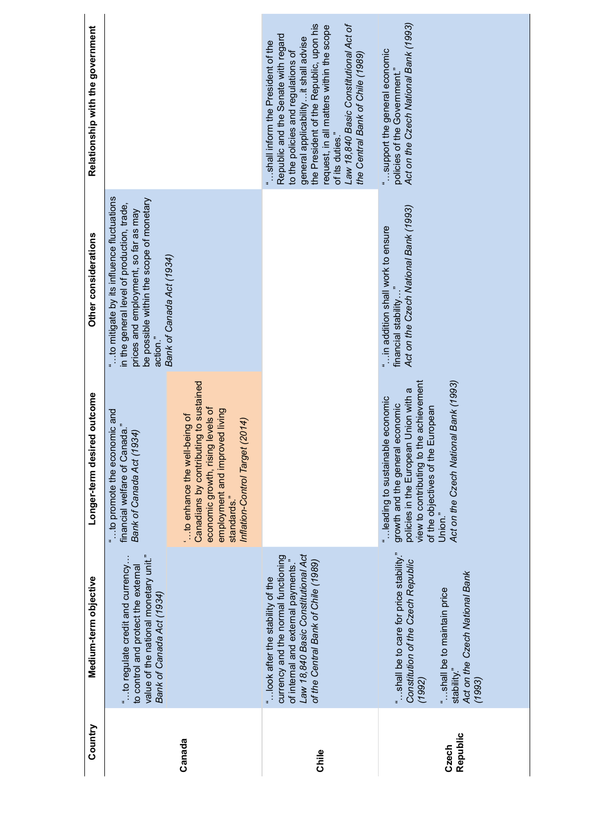| Country           | Medium-term objective                                                                                                                                                                        | Longer-term desired outcome                                                                                                                                                                                                                     | Other considerations                                                                                                                                                                    | Relationship with the government                                                                                                                                                                                                                                                                                                                |
|-------------------|----------------------------------------------------------------------------------------------------------------------------------------------------------------------------------------------|-------------------------------------------------------------------------------------------------------------------------------------------------------------------------------------------------------------------------------------------------|-----------------------------------------------------------------------------------------------------------------------------------------------------------------------------------------|-------------------------------------------------------------------------------------------------------------------------------------------------------------------------------------------------------------------------------------------------------------------------------------------------------------------------------------------------|
|                   | value of the national monetary unit."<br>" to regulate credit and currency<br>to control and protect the external<br>Bank of Canada Act (1934)                                               | to promote the economic and<br>financial welfare of Canada."<br>Bank of Canada Act (1934)                                                                                                                                                       | to mitigate by its influence fluctuations<br>be possible within the scope of monetary<br>in the general level of production, trade,<br>prices and employment, so far as may<br>action." |                                                                                                                                                                                                                                                                                                                                                 |
| Canada            |                                                                                                                                                                                              | Canadians by contributing to sustained<br>economic growth, rising levels of<br>employment and improved living<br>" to enhance the well-being of<br>Inflation-Control Target (2014)<br>standards."                                               | Bank of Canada Act (1934)                                                                                                                                                               |                                                                                                                                                                                                                                                                                                                                                 |
| Chile             | Law 18,840 Basic Constitutional Act<br>currency and the normal functioning<br>of internal and external payments."<br>of the Central Bank of Chile (1989)<br>"look after the stability of the |                                                                                                                                                                                                                                                 |                                                                                                                                                                                         | the President of the Republic, upon his<br>Law 18,840 Basic Constitutional Act of<br>request, in all matters within the scope<br>Republic and the Senate with regard<br>general applicability it shall advise<br>shall inform the President of the<br>to the policies and regulations of<br>the Central Bank of Chile (1989)<br>of its duties." |
| Republic<br>Czech | "shall be to care for price stability."<br>Constitution of the Czech Republic<br>Act on the Czech National Bank<br>"shall be to maintain price<br>stability."<br>(1992)<br>(1993)            | view to contributing to the achievement<br>Act on the Czech National Bank (1993)<br>policies in the European Union with a<br>leading to sustainable economic<br>growth and the general economic<br>of the objectives of the European<br>Union." | Act on the Czech National Bank (1993)<br>" in addition shall work to ensure<br>financial stability                                                                                      | Act on the Czech National Bank (1993)<br>support the general economic<br>policies of the Government."                                                                                                                                                                                                                                           |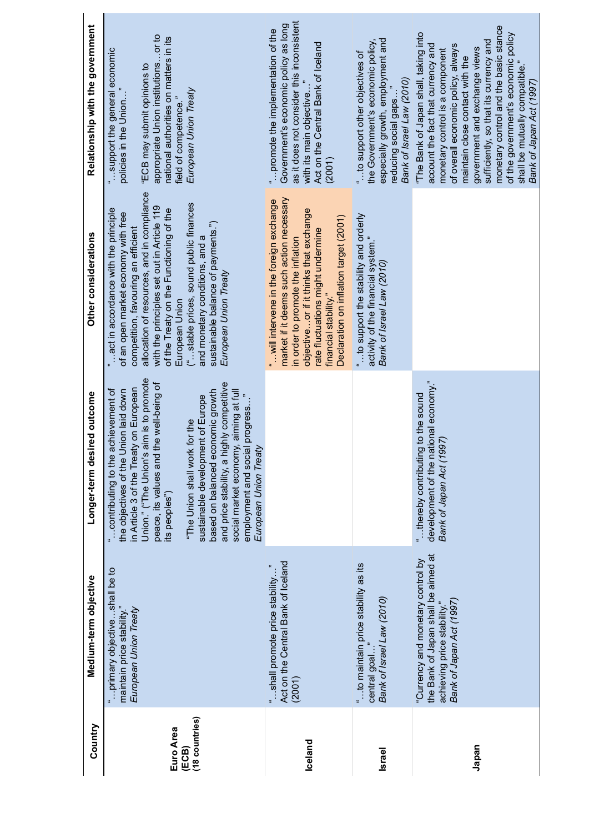| Relationship with the government | appropriate Union institutionsor to<br>national authorities on matters in its<br>support the general economic<br>"ECB may submit opinions to<br>policies in the Union"<br>European Union Treaty<br>field of competence."                                                                                                                                                                                                                                                                           | as it does not consider this inconsistent<br>Government's economic policy as long<br>" promote the implementation of the<br>Act on the Central Bank of Iceland<br>with its main objective.<br>(2001)                                                                       | especially growth, employment and<br>the Government's economic policy,<br>" to support other objectives of<br>Bank of Israel Law (2010)<br>reducing social gaps. | monetary control and the basic stance<br>"The Bank of Japan shall, taking into<br>of the government's economic policy<br>sufficiently, so that its currency and<br>account the fact that currency and<br>of overall economic policy, always<br>government and exchange views<br>monetary control is a component<br>maintain close contact with the<br>shall be mutually compatible." |
|----------------------------------|----------------------------------------------------------------------------------------------------------------------------------------------------------------------------------------------------------------------------------------------------------------------------------------------------------------------------------------------------------------------------------------------------------------------------------------------------------------------------------------------------|----------------------------------------------------------------------------------------------------------------------------------------------------------------------------------------------------------------------------------------------------------------------------|------------------------------------------------------------------------------------------------------------------------------------------------------------------|--------------------------------------------------------------------------------------------------------------------------------------------------------------------------------------------------------------------------------------------------------------------------------------------------------------------------------------------------------------------------------------|
| Other considerations             | allocation of resources, and in compliance<br>("stable prices, sound public finances<br>with the principles set out in Article 119<br>act in accordance with the principle<br>of the Treaty on the Functioning of the<br>of an open market economy with free<br>sustainable balance of payments.")<br>competition, favouring an efficient<br>and monetary conditions, and a<br>European Union Treaty<br>European Union                                                                             | market if it deems such action necessary<br>"will intervene in the foreign exchange<br>objectiveor if it thinks that exchange<br>Declaration on inflation target (2001)<br>rate fluctuations might undermine<br>in order to promote the inflation<br>financial stability." | " to support the stability and orderly<br>activity of the financial system."<br>Bank of Israel Law (2010)                                                        |                                                                                                                                                                                                                                                                                                                                                                                      |
| Longer-term desired outcome      | Union." ("The Union's aim is to promote<br>peace, its values and the well-being of<br>highly competitive<br>in Article 3 of the Treaty on European<br>social market economy, aiming at full<br>achievement of<br>based on balanced economic growth<br>Union laid down<br>employment and social progress"<br>sustainable development of Europe<br>"The Union shall work for the<br>European Union Treaty<br>contributing to the<br>the objectives of the<br>and price stability, a<br>its peoples") |                                                                                                                                                                                                                                                                            |                                                                                                                                                                  | development of the national economy."<br>"thereby contributing to the sound<br>997)<br>Bank of Japan Act (1                                                                                                                                                                                                                                                                          |
| Medium-term objective            | primary objectiveshall be to<br>maintain price stability."<br>European Union Treaty                                                                                                                                                                                                                                                                                                                                                                                                                | Act on the Central Bank of Iceland<br>shall promote price stability<br>(2001)                                                                                                                                                                                              | " to maintain price stability as its<br>Bank of Israel Law (2010)<br>central goal.                                                                               | the Bank of Japan shall be aimed at<br>"Currency and monetary control by<br>Bank of Japan Act (1997)<br>achieving price stability."                                                                                                                                                                                                                                                  |
| Country                          | (18 countries)<br>Euro Area<br>(ECB)                                                                                                                                                                                                                                                                                                                                                                                                                                                               | Iceland                                                                                                                                                                                                                                                                    | <b>Israel</b>                                                                                                                                                    | Japan                                                                                                                                                                                                                                                                                                                                                                                |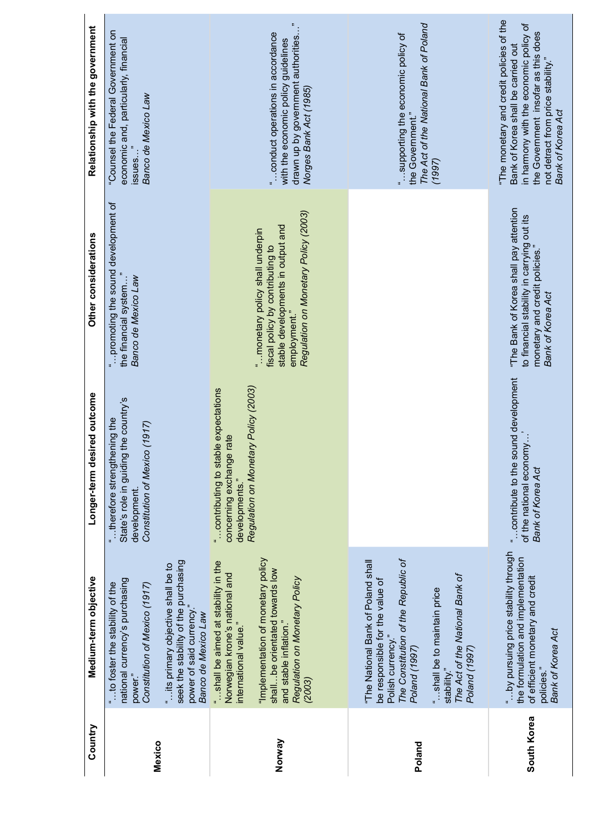| Relationship with the government | "Counsel the Federal Government on<br>economic and, particularly, financial<br>iccuse<br>Banco de Mexico Law<br>issues.                                                                                                                                        | $\ddot{\phantom{1}}$<br>drawn up by government authorities'<br>conduct operations in accordance<br>with the economic policy guidelines<br>Norges Bank Act (1985)                                                                              | The Act of the National Bank of Poland<br>supporting the economic policy of<br>the Government."<br>(1997)                                                                                                                                            | "The monetary and credit policies of the<br>in harmony with the economic policy of<br>the Government insofar as this does<br>Bank of Korea shall be carried out<br>not detract from price stability."<br>Bank of Korea Act |
|----------------------------------|----------------------------------------------------------------------------------------------------------------------------------------------------------------------------------------------------------------------------------------------------------------|-----------------------------------------------------------------------------------------------------------------------------------------------------------------------------------------------------------------------------------------------|------------------------------------------------------------------------------------------------------------------------------------------------------------------------------------------------------------------------------------------------------|----------------------------------------------------------------------------------------------------------------------------------------------------------------------------------------------------------------------------|
| Other considerations             | promoting the sound development of<br>Banco de Mexico Law<br>the financial system                                                                                                                                                                              | Regulation on Monetary Policy (2003)<br>stable developments in output and<br>" monetary policy shall underpin<br>fiscal policy by contributing to<br>employment."                                                                             |                                                                                                                                                                                                                                                      | "The Bank of Korea shall pay attention<br>to financial stability in carrying out its<br>monetary and credit policies."<br>Bank of Korea Act                                                                                |
| Longer-term desired outcome      | State's role in guiding the country's<br>therefore strengthening the<br>Constitution of Mexico (1917)<br>development.                                                                                                                                          | Regulation on Monetary Policy (2003)<br>" contributing to stable expectations<br>concerning exchange rate<br>developments."                                                                                                                   |                                                                                                                                                                                                                                                      | " contribute to the sound development<br>of the national economy.<br>Bank of Korea Act                                                                                                                                     |
| Medium-term objective            | seek the stability of the purchasing<br>" its primary objective shall be to<br>national currency's purchasing<br>to foster the stability of the<br>Constitution of Mexico (1917)<br>power of said currency.'<br>Banco de Mexico Law<br>power."<br>$\mathbf{u}$ | "Implementation of monetary policy<br>"shall be aimed at stability in the<br>shall  be orientated towards low<br>Norwegian krone's national and<br>Regulation on Monetary Policy<br>international value."<br>and stable inflation."<br>(2003) | The Constitution of the Republic of<br>"The National Bank of Poland shall<br>The Act of the National Bank of<br>be responsible for the value of<br>"shall be to maintain price<br>Polish currency."<br>Poland (1997)<br>Poland (1997)<br>stability." | "by pursuing price stability through<br>the formulation and implementation<br>of efficient monetary and credit<br>Bank of Korea Act<br>policies."                                                                          |
| Country                          | Mexico                                                                                                                                                                                                                                                         | Norway                                                                                                                                                                                                                                        | Poland                                                                                                                                                                                                                                               | South Korea                                                                                                                                                                                                                |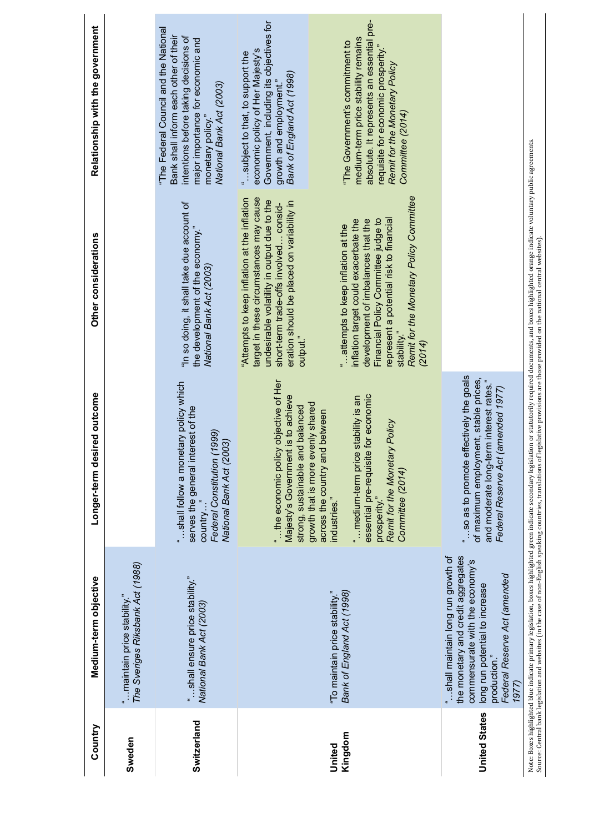| Country              | Medium-term objective                                                                                                                                                                                  | red outcome<br>Longer-term desi                                                                                                                                                                                                                   | Other considerations                                                                                                                                                                                                                                                                                                      | Relationship with the government                                                                                                                                                                                                                    |
|----------------------|--------------------------------------------------------------------------------------------------------------------------------------------------------------------------------------------------------|---------------------------------------------------------------------------------------------------------------------------------------------------------------------------------------------------------------------------------------------------|---------------------------------------------------------------------------------------------------------------------------------------------------------------------------------------------------------------------------------------------------------------------------------------------------------------------------|-----------------------------------------------------------------------------------------------------------------------------------------------------------------------------------------------------------------------------------------------------|
| Sweden               | The Sveriges Riksbank Act (1988)<br>maintain price stability."                                                                                                                                         |                                                                                                                                                                                                                                                   |                                                                                                                                                                                                                                                                                                                           |                                                                                                                                                                                                                                                     |
| Switzerland          | "shall ensure price stability."<br>National Bank Act (2003)                                                                                                                                            | "shall follow a monetary policy which<br>serves the general interest of the<br>(999)<br>National Bank Act (2003)<br>Federal Constitution (1<br>country.                                                                                           | "In so doing, it shall take due account of<br>the development of the economy."<br>National Bank Act (2003)                                                                                                                                                                                                                | "The Federal Council and the National<br>Bank shall inform each other of their<br>intentions before taking decisions of<br>major importance for economic and<br>National Bank Act (2003)<br>monetary policy."                                       |
| Kingdom<br>United    | Bank of England Act (1998)<br>"To maintain price stability."                                                                                                                                           | objective of Her<br>Majesty's Government is to achieve<br>stability is an<br>growth that is more evenly shared<br>strong, sustainable and balanced<br>across the country and between<br>"the economic policy<br>medium-term price<br>industries." | "Attempts to keep inflation at the inflation<br>target in these circumstances may cause<br>undesirable volatility in output due to the<br>eration should be placed on variability in<br>short-term trade-offs involved consid-<br>inflation target could exacerbate the<br>"attempts to keep inflation at the<br>output." | Government, including its objectives for<br>medium-term price stability remains<br>"The Government's commitment to<br>economic policy of Her Majesty's<br>"subject to that, to support the<br>Bank of England Act (1998)<br>growth and employment." |
|                      |                                                                                                                                                                                                        | for economic<br>Remit for the Monetary Policy<br>essential pre-requisite<br>Committee (2014)<br>prosperity."                                                                                                                                      | Remit for the Monetary Policy Committee<br>Financial Policy Committee judge to<br>represent a potential risk to financial<br>development of imbalances that the<br>stability."<br>(2014)                                                                                                                                  | absolute. It represents an essential pre-<br>requisite for economic prosperity."<br>Remit for the Monetary Policy<br>Committee (2014)                                                                                                               |
| <b>United States</b> | the monetary and credit aggregates<br>"shall maintain long run growth of<br>commensurate with the economy's<br>Federal Reserve Act (amended<br>long run potential to increase<br>production."<br>1977) | "so as to promote effectively the goals<br>of maximum employment, stable prices,<br>and moderate long-term interest rates."<br>Federal Reserve Act (amended 1977)                                                                                 |                                                                                                                                                                                                                                                                                                                           |                                                                                                                                                                                                                                                     |

Note: Boxes highlighted blue indicate primary legislation, boxes highlighted green indicate secondary legislation or statutorily required documents, and boxes highlighted orange indicate voluntary public agreements.<br>Source Note: Boxes highlighted blue indicate primary legislation, boxes highlighted green indicate secondary legislation or statutorily required documents, and boxes highlighted orange indicate voluntary public agreements. Source: Central bank legislation and websites (in the case of non-English speaking countries, translations of legislative provisions are those provided on the national central websites).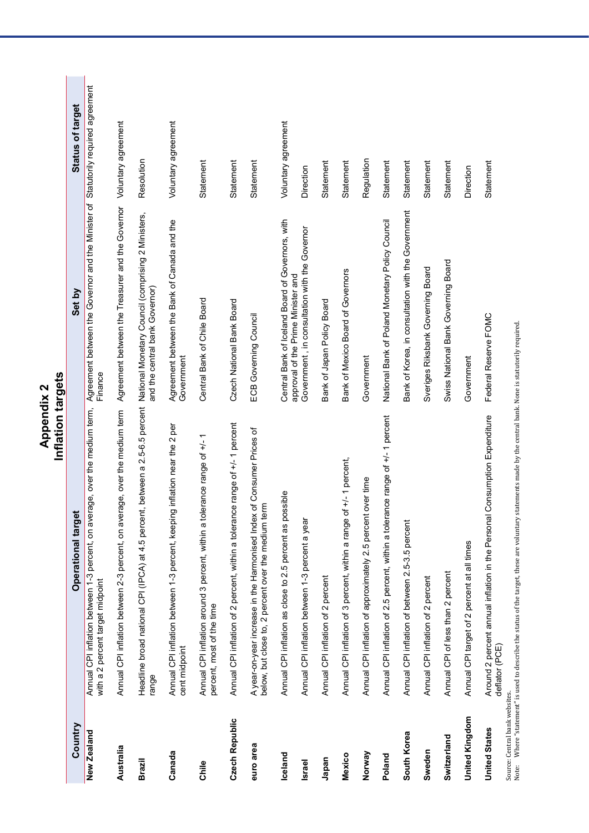|                                                        | Inflation targets                                                                                                                        |                                                                                              |                         |
|--------------------------------------------------------|------------------------------------------------------------------------------------------------------------------------------------------|----------------------------------------------------------------------------------------------|-------------------------|
| Country                                                | Operational target                                                                                                                       | Set by                                                                                       | <b>Status of target</b> |
| New Zealand                                            | Annual CPI inflation between 1-3 percent, on average, over the medium term,<br>with a 2 percent target midpoint                          | Agreement between the Governor and the Minister of Statutorily required agreement<br>Finance |                         |
| Australia                                              | Annual CPI inflation between 2-3 percent, on average, over the medium term                                                               | Agreement between the Treasurer and the Governor Voluntary agreement                         |                         |
| Brazil                                                 | Headline broad national CPI (IPCA) at 4.5 percent, between a 2.5-6.5 percent National Monetary Council (comprising 2 Ministers,<br>range | and the central bank Governor)                                                               | Resolution              |
| Canada                                                 | g inflation near the 2 per<br>Annual CPI inflation between 1-3 percent, keepin<br>cent midpoint                                          | Agreement between the Bank of Canada and the<br>Government                                   | Voluntary agreement     |
| Chile                                                  | Annual CPI inflation around 3 percent, within a tolerance range of +/-1<br>percent, most of the time                                     | Central Bank of Chile Board                                                                  | Statement               |
| Czech Republic                                         | ce range of +/- 1 percent<br>Annual CPI inflation of 2 percent, within a toleran                                                         | Czech National Bank Board                                                                    | Statement               |
| euro area                                              | A year-on-year increase in the Harmonised Index of Consumer Prices of<br>below, but close to, 2 percent over the medium term             | ECB Governing Council                                                                        | Statement               |
| Iceland                                                | Annual CPI inflation as close to 2.5 percent as possible                                                                                 | Central Bank of Iceland Board of Governors, with                                             | Voluntary agreement     |
| <b>Israel</b>                                          | Annual CPI inflation between 1-3 percent a year                                                                                          | Government, in consultation with the Governor<br>approval of the Prime Minister and          | Direction               |
| Japan                                                  | Annual CPI inflation of 2 percent                                                                                                        | Bank of Japan Policy Board                                                                   | Statement               |
| Mexico                                                 | Annual CPI inflation of 3 percent, within a range of +/- 1 percent,                                                                      | Bank of Mexico Board of Governors                                                            | Statement               |
| Norway                                                 | Annual CPI inflation of approximately 2.5 percent over time                                                                              | Government                                                                                   | Regulation              |
| Poland                                                 | Annual CPI inflation of 2.5 percent, within a tolerance range of +/- 1 percent                                                           | National Bank of Poland Monetary Policy Council                                              | Statement               |
| South Korea                                            | Annual CPI inflation of between 2.5-3.5 percent                                                                                          | Bank of Korea, in consultation with the Government                                           | Statement               |
| Sweden                                                 | Annual CPI inflation of 2 percent                                                                                                        | Sveriges Riksbank Governing Board                                                            | Statement               |
| Switzerland                                            | Annual CPI of less than 2 percent                                                                                                        | Swiss National Bank Governing Board                                                          | Statement               |
| <b>United Kingdom</b>                                  | Annual CPI target of 2 percent at all times                                                                                              | Government                                                                                   | Direction               |
| Source: Central bank websites.<br><b>United States</b> | Consumption Expenditure<br>Around 2 percent annual inflation in the Personal<br>deflator (PCE)                                           | Federal Reserve FOMC                                                                         | Statement               |

.<br>Note: Where "statement" is used to describe the status of the target, these are voluntary statements made by the central bank. None is statutorily required.<br>Note: Note: Where "statement" is used to describe the status of the target, these are voluntary statements made by the central bank. None is statutorily required.

# Appendix 2<br>Inflation targets **Appendix 2**